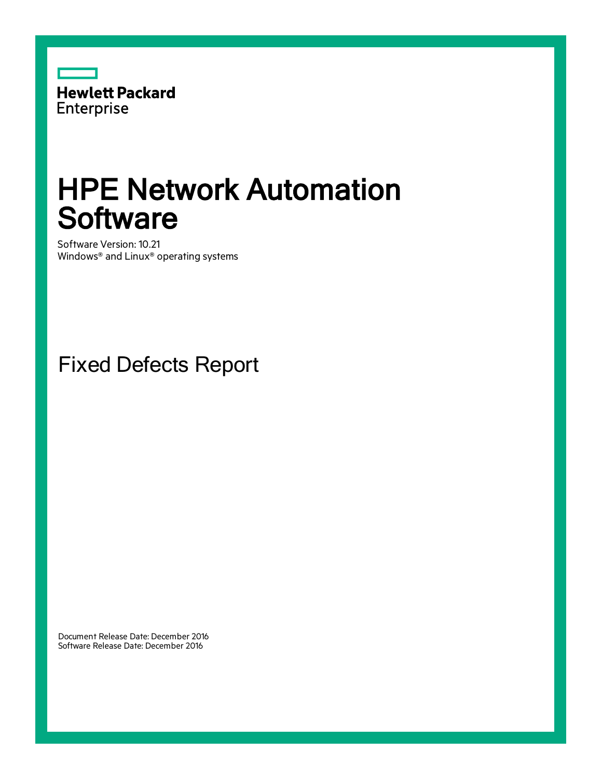

# HPE Network Automation **Software**

Software Version: 10.21 Windows® and Linux® operating systems

Fixed Defects Report

Document Release Date: December 2016 Software Release Date: December 2016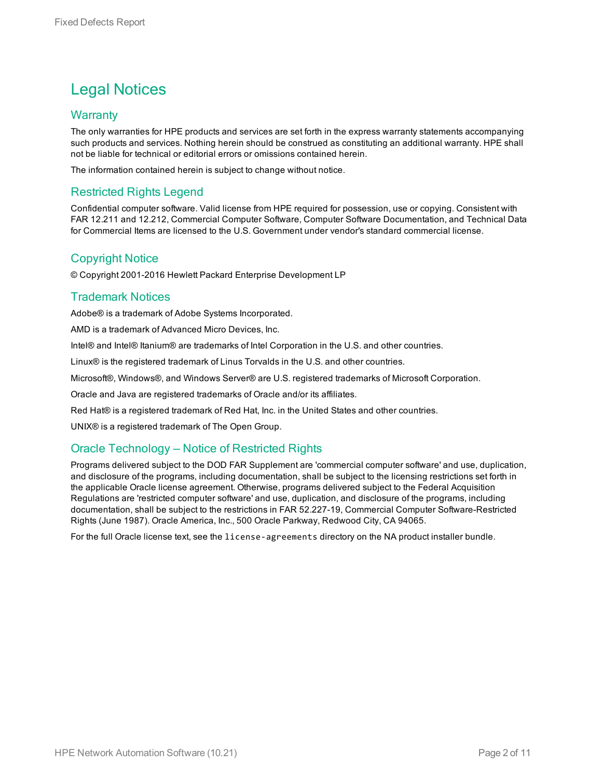# Legal Notices

### **Warranty**

The only warranties for HPE products and services are set forth in the express warranty statements accompanying such products and services. Nothing herein should be construed as constituting an additional warranty. HPE shall not be liable for technical or editorial errors or omissions contained herein.

The information contained herein is subject to change without notice.

### Restricted Rights Legend

Confidential computer software. Valid license from HPE required for possession, use or copying. Consistent with FAR 12.211 and 12.212, Commercial Computer Software, Computer Software Documentation, and Technical Data for Commercial Items are licensed to the U.S. Government under vendor's standard commercial license.

### Copyright Notice

© Copyright 2001-2016 Hewlett Packard Enterprise Development LP

### Trademark Notices

Adobe® is a trademark of Adobe Systems Incorporated.

AMD is a trademark of Advanced Micro Devices, Inc.

Intel® and Intel® Itanium® are trademarks of Intel Corporation in the U.S. and other countries.

Linux® is the registered trademark of Linus Torvalds in the U.S. and other countries.

Microsoft®, Windows®, and Windows Server® are U.S. registered trademarks of Microsoft Corporation.

Oracle and Java are registered trademarks of Oracle and/or its affiliates.

Red Hat® is a registered trademark of Red Hat, Inc. in the United States and other countries.

UNIX® is a registered trademark of The Open Group.

### Oracle Technology — Notice of Restricted Rights

Programs delivered subject to the DOD FAR Supplement are 'commercial computer software' and use, duplication, and disclosure of the programs, including documentation, shall be subject to the licensing restrictions set forth in the applicable Oracle license agreement. Otherwise, programs delivered subject to the Federal Acquisition Regulations are 'restricted computer software' and use, duplication, and disclosure of the programs, including documentation, shall be subject to the restrictions in FAR 52.227-19, Commercial Computer Software-Restricted Rights (June 1987). Oracle America, Inc., 500 Oracle Parkway, Redwood City, CA 94065.

For the full Oracle license text, see the license-agreements directory on the NA product installer bundle.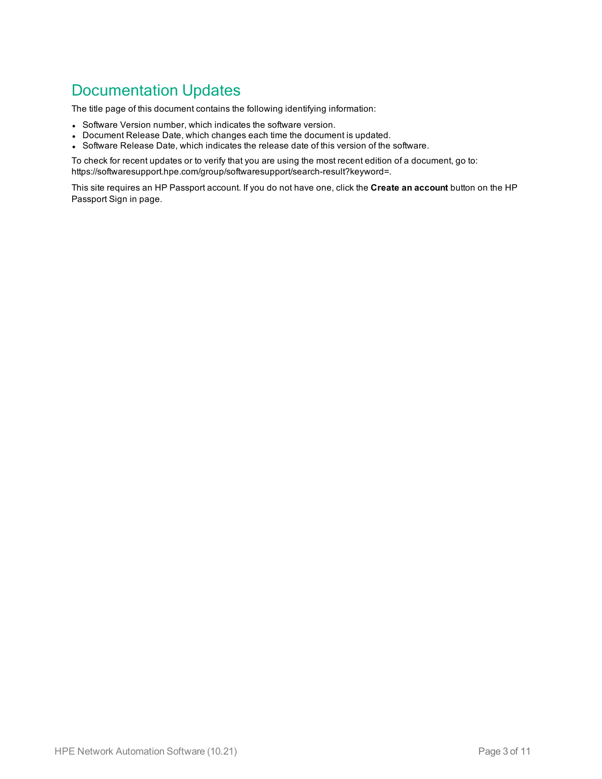## Documentation Updates

The title page of this document contains the following identifying information:

- Software Version number, which indicates the software version.
- Document Release Date, which changes each time the document is updated.
- Software Release Date, which indicates the release date of this version of the software.

To check for recent updates or to verify that you are using the most recent edition of a document, go to: https://softwaresupport.hpe.com/group/softwaresupport/search-result?keyword=.

This site requires an HP Passport account. If you do not have one, click the **Create an account** button on the HP Passport Sign in page.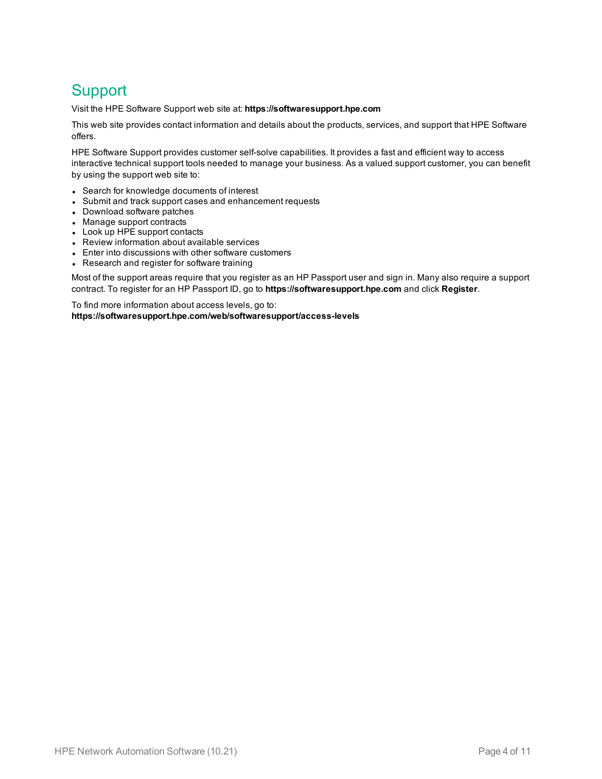# **Support**

Visit the HPE Software Support web site at: **https://softwaresupport.hpe.com**

This web site provides contact information and details about the products, services, and support that HPE Software offers.

HPE Software Support provides customer self-solve capabilities. It provides a fast and efficient way to access interactive technical support tools needed to manage your business. As a valued support customer, you can benefit by using the support web site to:

- Search for knowledge documents of interest
- Submit and track support cases and enhancement requests
- Download software patches
- Manage support contracts
- Look up HPE support contacts
- Review information about available services
- Enter into discussions with other software customers
- Research and register for software training

Most of the support areas require that you register as an HP Passport user and sign in. Many also require a support contract. To register for an HP Passport ID, go to **https://softwaresupport.hpe.com** and click **Register**.

To find more information about access levels, go to: **https://softwaresupport.hpe.com/web/softwaresupport/access-levels**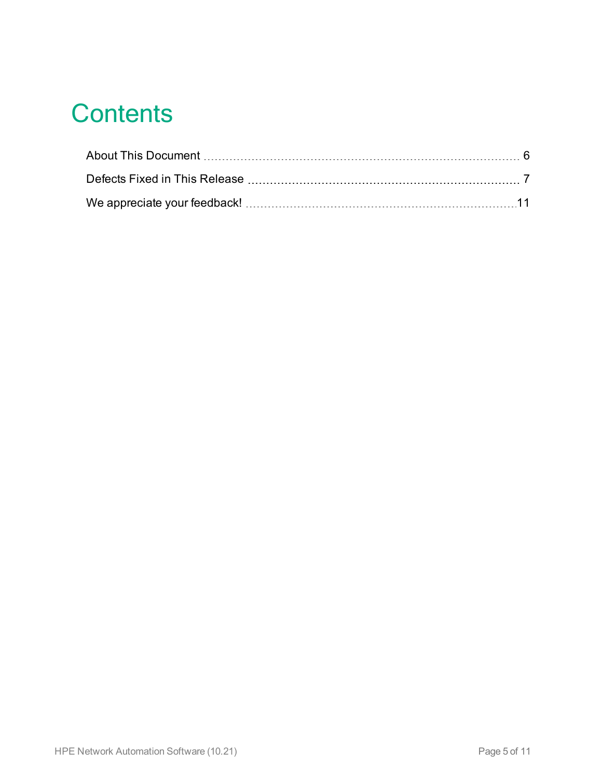# **Contents**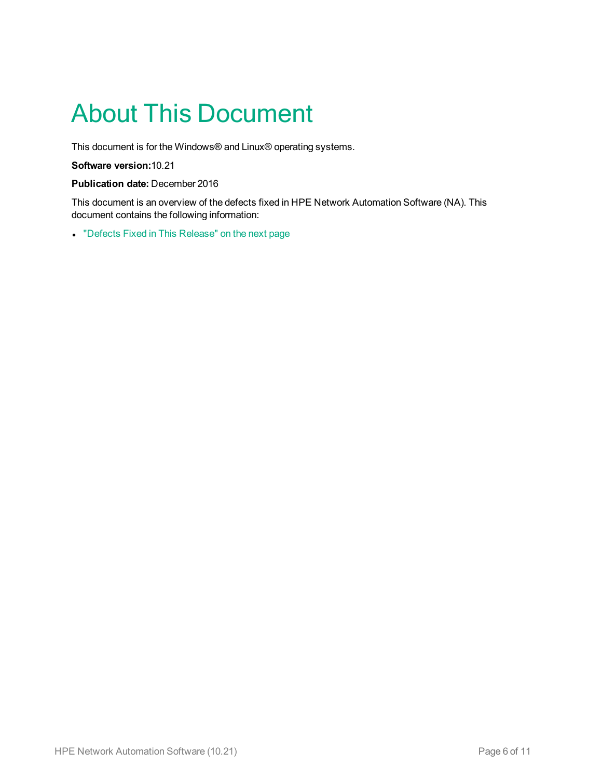# <span id="page-5-0"></span>About This Document

This document is for the Windows® and Linux® operating systems.

**Software version:**10.21

#### **Publication date:** December 2016

This document is an overview of the defects fixed in HPE Network Automation Software (NA). This document contains the following information:

• "Defects Fixed in This [Release"](#page-6-0) on the next page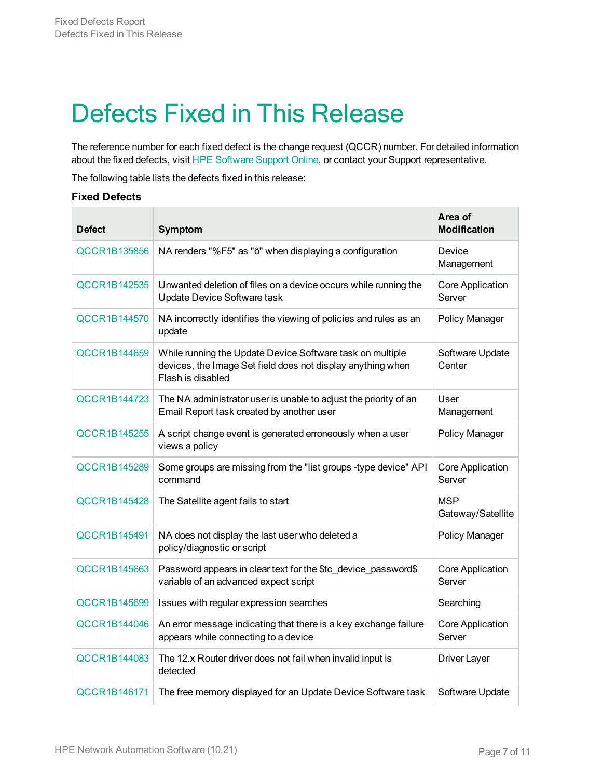# <span id="page-6-0"></span>Defects Fixed in This Release

The reference number for each fixed defect is the change request (QCCR) number. For detailed information about the fixed defects, visit HPE [Software](https://softwaresupport.hp.com/) Support Online, or contact your Support representative.

The following table lists the defects fixed in this release:

#### **Fixed Defects**

| <b>Defect</b>       | Symptom                                                                                                                                       | Area of<br><b>Modification</b>    |
|---------------------|-----------------------------------------------------------------------------------------------------------------------------------------------|-----------------------------------|
| <b>QCCR1B135856</b> | NA renders "%F5" as "õ" when displaying a configuration                                                                                       | Device<br>Management              |
| QCCR1B142535        | Unwanted deletion of files on a device occurs while running the<br>Update Device Software task                                                | <b>Core Application</b><br>Server |
| QCCR1B144570        | NA incorrectly identifies the viewing of policies and rules as an<br>update                                                                   | Policy Manager                    |
| QCCR1B144659        | While running the Update Device Software task on multiple<br>devices, the Image Set field does not display anything when<br>Flash is disabled | Software Update<br>Center         |
| QCCR1B144723        | The NA administrator user is unable to adjust the priority of an<br>Email Report task created by another user                                 | User<br>Management                |
| <b>QCCR1B145255</b> | A script change event is generated erroneously when a user<br>views a policy                                                                  | Policy Manager                    |
| QCCR1B145289        | Some groups are missing from the "list groups -type device" API<br>command                                                                    | Core Application<br>Server        |
| <b>QCCR1B145428</b> | The Satellite agent fails to start                                                                                                            | <b>MSP</b><br>Gateway/Satellite   |
| QCCR1B145491        | NA does not display the last user who deleted a<br>policy/diagnostic or script                                                                | Policy Manager                    |
| <b>QCCR1B145663</b> | Password appears in clear text for the \$tc device password\$<br>variable of an advanced expect script                                        | <b>Core Application</b><br>Server |
| <b>QCCR1B145699</b> | Issues with regular expression searches                                                                                                       | Searching                         |
| <b>QCCR1B144046</b> | An error message indicating that there is a key exchange failure<br>appears while connecting to a device                                      | <b>Core Application</b><br>Server |
| QCCR1B144083        | The 12.x Router driver does not fail when invalid input is<br>detected                                                                        | Driver Layer                      |
| QCCR1B146171        | The free memory displayed for an Update Device Software task                                                                                  | Software Update                   |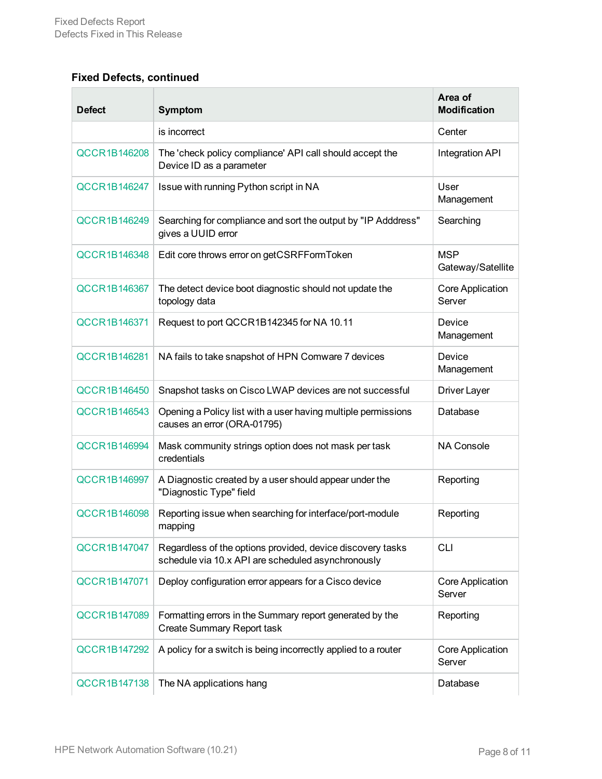## **Fixed Defects, continued**

| <b>Defect</b>       | <b>Symptom</b>                                                                                                   | Area of<br><b>Modification</b>    |
|---------------------|------------------------------------------------------------------------------------------------------------------|-----------------------------------|
|                     | is incorrect                                                                                                     | Center                            |
| <b>QCCR1B146208</b> | The 'check policy compliance' API call should accept the<br>Device ID as a parameter                             | Integration API                   |
| <b>QCCR1B146247</b> | Issue with running Python script in NA                                                                           | User<br>Management                |
| QCCR1B146249        | Searching for compliance and sort the output by "IP Adddress"<br>gives a UUID error                              | Searching                         |
| <b>QCCR1B146348</b> | Edit core throws error on getCSRFFormToken                                                                       | <b>MSP</b><br>Gateway/Satellite   |
| <b>QCCR1B146367</b> | The detect device boot diagnostic should not update the<br>topology data                                         | <b>Core Application</b><br>Server |
| QCCR1B146371        | Request to port QCCR1B142345 for NA 10.11                                                                        | Device<br>Management              |
| QCCR1B146281        | NA fails to take snapshot of HPN Comware 7 devices                                                               | Device<br>Management              |
| <b>QCCR1B146450</b> | Snapshot tasks on Cisco LWAP devices are not successful                                                          | Driver Layer                      |
| QCCR1B146543        | Opening a Policy list with a user having multiple permissions<br>causes an error (ORA-01795)                     | Database                          |
| <b>QCCR1B146994</b> | Mask community strings option does not mask per task<br>credentials                                              | NA Console                        |
| QCCR1B146997        | A Diagnostic created by a user should appear under the<br>"Diagnostic Type" field                                | Reporting                         |
| <b>QCCR1B146098</b> | Reporting issue when searching for interface/port-module<br>mapping                                              | Reporting                         |
| QCCR1B147047        | Regardless of the options provided, device discovery tasks<br>schedule via 10.x API are scheduled asynchronously | <b>CLI</b>                        |
| QCCR1B147071        | Deploy configuration error appears for a Cisco device                                                            | Core Application<br>Server        |
| <b>QCCR1B147089</b> | Formatting errors in the Summary report generated by the<br>Create Summary Report task                           | Reporting                         |
| <b>QCCR1B147292</b> | A policy for a switch is being incorrectly applied to a router                                                   | Core Application<br>Server        |
| <b>QCCR1B147138</b> | The NA applications hang                                                                                         | Database                          |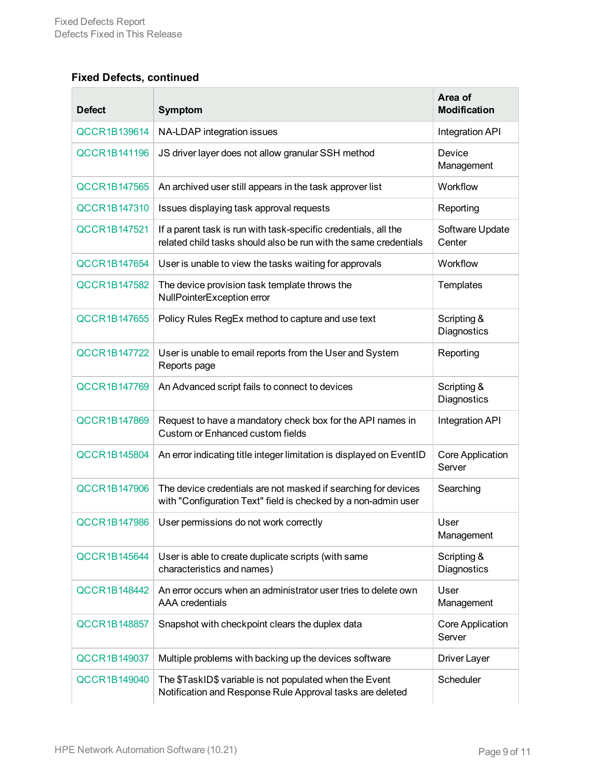## **Fixed Defects, continued**

| <b>Defect</b>       | <b>Symptom</b>                                                                                                                      | Area of<br><b>Modification</b>    |
|---------------------|-------------------------------------------------------------------------------------------------------------------------------------|-----------------------------------|
| QCCR1B139614        | NA-LDAP integration issues                                                                                                          | Integration API                   |
| <b>QCCR1B141196</b> | JS driver layer does not allow granular SSH method                                                                                  | Device<br>Management              |
| <b>QCCR1B147565</b> | An archived user still appears in the task approver list                                                                            | Workflow                          |
| QCCR1B147310        | Issues displaying task approval requests                                                                                            | Reporting                         |
| QCCR1B147521        | If a parent task is run with task-specific credentials, all the<br>related child tasks should also be run with the same credentials | Software Update<br>Center         |
| QCCR1B147654        | User is unable to view the tasks waiting for approvals                                                                              | Workflow                          |
| <b>QCCR1B147582</b> | The device provision task template throws the<br>NullPointerException error                                                         | Templates                         |
| <b>QCCR1B147655</b> | Policy Rules RegEx method to capture and use text                                                                                   | Scripting &<br>Diagnostics        |
| QCCR1B147722        | User is unable to email reports from the User and System<br>Reports page                                                            | Reporting                         |
| QCCR1B147769        | An Advanced script fails to connect to devices                                                                                      | Scripting &<br>Diagnostics        |
| <b>QCCR1B147869</b> | Request to have a mandatory check box for the API names in<br>Custom or Enhanced custom fields                                      | Integration API                   |
| <b>QCCR1B145804</b> | An error indicating title integer limitation is displayed on EventID                                                                | Core Application<br>Server        |
| <b>QCCR1B147906</b> | The device credentials are not masked if searching for devices<br>with "Configuration Text" field is checked by a non-admin user    | Searching                         |
| <b>QCCR1B147986</b> | User permissions do not work correctly                                                                                              | User<br>Management                |
| <b>QCCR1B145644</b> | User is able to create duplicate scripts (with same<br>characteristics and names)                                                   | Scripting &<br><b>Diagnostics</b> |
| QCCR1B148442        | An error occurs when an administrator user tries to delete own<br><b>AAA</b> credentials                                            | User<br>Management                |
| <b>QCCR1B148857</b> | Snapshot with checkpoint clears the duplex data                                                                                     | Core Application<br>Server        |
| QCCR1B149037        | Multiple problems with backing up the devices software                                                                              | Driver Layer                      |
| QCCR1B149040        | The \$TaskID\$ variable is not populated when the Event<br>Notification and Response Rule Approval tasks are deleted                | Scheduler                         |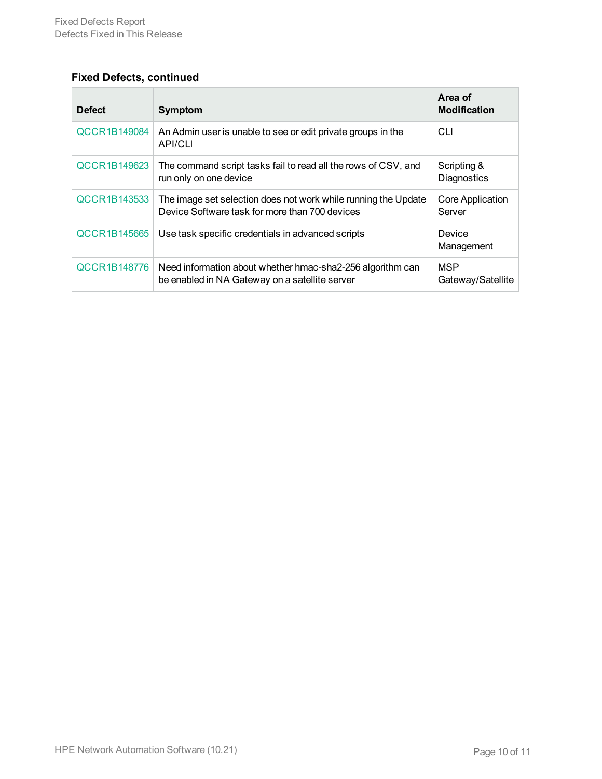## **Fixed Defects, continued**

| <b>Defect</b>       | <b>Symptom</b>                                                                                                   | Area of<br><b>Modification</b>  |
|---------------------|------------------------------------------------------------------------------------------------------------------|---------------------------------|
| QCCR1B149084        | An Admin user is unable to see or edit private groups in the<br><b>API/CLI</b>                                   | <b>CLI</b>                      |
| QCCR1B149623        | The command script tasks fail to read all the rows of CSV, and<br>run only on one device                         | Scripting &<br>Diagnostics      |
| QCCR1B143533        | The image set selection does not work while running the Update<br>Device Software task for more than 700 devices | Core Application<br>Server      |
| <b>QCCR1B145665</b> | Use task specific credentials in advanced scripts                                                                | Device<br>Management            |
| QCCR1B148776        | Need information about whether hmac-sha2-256 algorithm can<br>be enabled in NA Gateway on a satellite server     | <b>MSP</b><br>Gateway/Satellite |